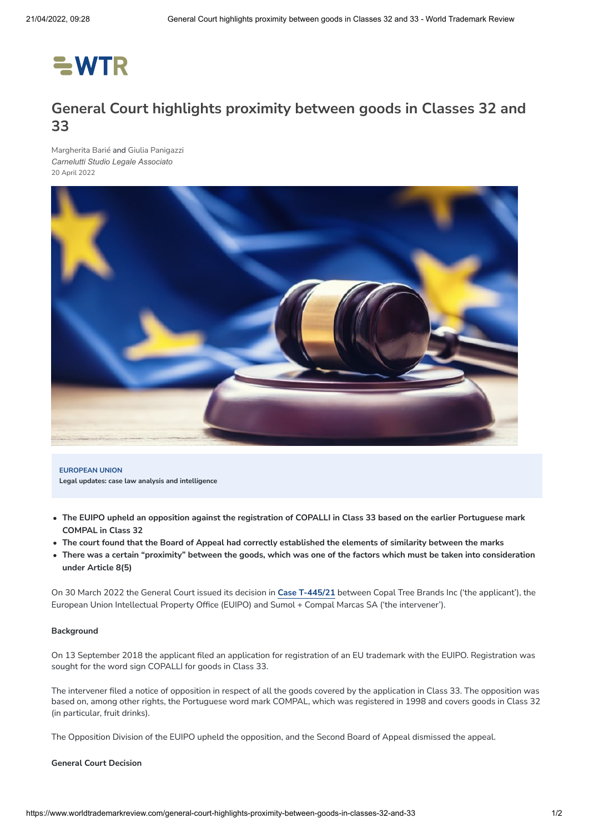# $=$  WTR

# **General Court highlights proximity between goods in Classes 32 and 33**

[Margherita](https://www.worldtrademarkreview.com/authors/margherita-barie) Barié and Giulia [Panigazzi](https://www.worldtrademarkreview.com/authors/giulia-panigazzi) *[Carnelutti Studio Legale Associato](https://www.worldtrademarkreview.com/organisation/carnelutti-studio-legale-associato)* 20 April 2022



**EUROPEAN UNION Legal updates: case law analysis and intelligence**

- The EUIPO upheld an opposition against the registration of COPALLI in Class 33 based on the earlier Portuguese mark **COMPAL in Class 32**
- The court found that the Board of Appeal had correctly established the elements of similarity between the marks
- There was a certain "proximity" between the goods, which was one of the factors which must be taken into consideration **under Article 8(5)**

On 30 March 2022 the General Court issued its decision in **Case [T-445/21](https://curia.europa.eu/juris/document/document.jsf?text=&docid=256891&pageIndex=0&doclang=en&mode=lst&dir=&occ=first&part=1&cid=6144618)** between Copal Tree Brands Inc ('the applicant'), the European Union Intellectual Property Office (EUIPO) and Sumol + Compal Marcas SA ('the intervener').

#### **Background**

On 13 September 2018 the applicant filed an application for registration of an EU trademark with the EUIPO. Registration was sought for the word sign COPALLI for goods in Class 33.

The intervener filed a notice of opposition in respect of all the goods covered by the application in Class 33. The opposition was based on, among other rights, the Portuguese word mark COMPAL, which was registered in 1998 and covers goods in Class 32 (in particular, fruit drinks).

The Opposition Division of the EUIPO upheld the opposition, and the Second Board of Appeal dismissed the appeal.

#### **General Court Decision**